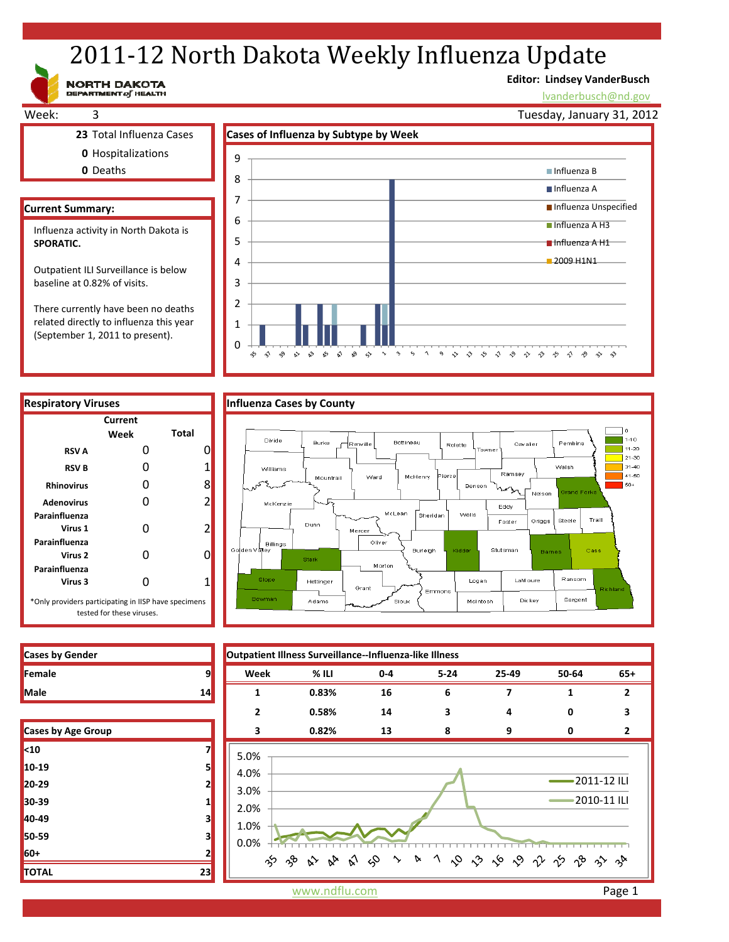# 2011-12 North Dakota Weekly Influenza Update

**Editor: Lindsey VanderBusch**

lvanderbusch@nd.gov

Week: 3 **23** Total Influenza Cases **Cases of Influenza by Subtype by Week 0** Hospitalizations **0** Deaths **Current Summary:** Tuesday, January 31, 2012 3  $\Delta$ 5 6 7 8 9 Influenza B Influenza A **Influenza Unspecified** ■ Influenza A H3 Influenza A H1 2009 H1N1 Influenza activity in North Dakota is **SPORATIC.**  Outpatient ILI Surveillance is below baseline at 0.82% of visits.

There currently have been no deaths related directly to influenza this year (September 1, 2011 to present).

NORTH DAKOTA



# **Respiratory Viruses Cases County County County County County County County County County County Current Week Total RSV A** 0 0 **RSV B** 0 1 **Rhinovirus** 0 8 **Adenovirus** 0 2 **Parainfluenza Virus 1** 0 2 **Parainfluenza Virus 2** 0 0 **Parainfluenza Virus 3** 0 1 \*Only providers participating in IISP have specimens tested for these viruses.

|  | luenza Cases by County |
|--|------------------------|
|  |                        |



| <b>Cases by Gender</b> |  |
|------------------------|--|
| <b>TFemale</b>         |  |
| <b>Male</b>            |  |

| <b>Cases by Age Group</b> |    |
|---------------------------|----|
| <10                       |    |
| 10-19                     | 5  |
| 20-29                     | 2  |
| 30-39                     | 1  |
| 40-49                     | 3  |
| 50-59                     | 3  |
| 60+                       | 2  |
| <b>TOTAL</b>              | 23 |

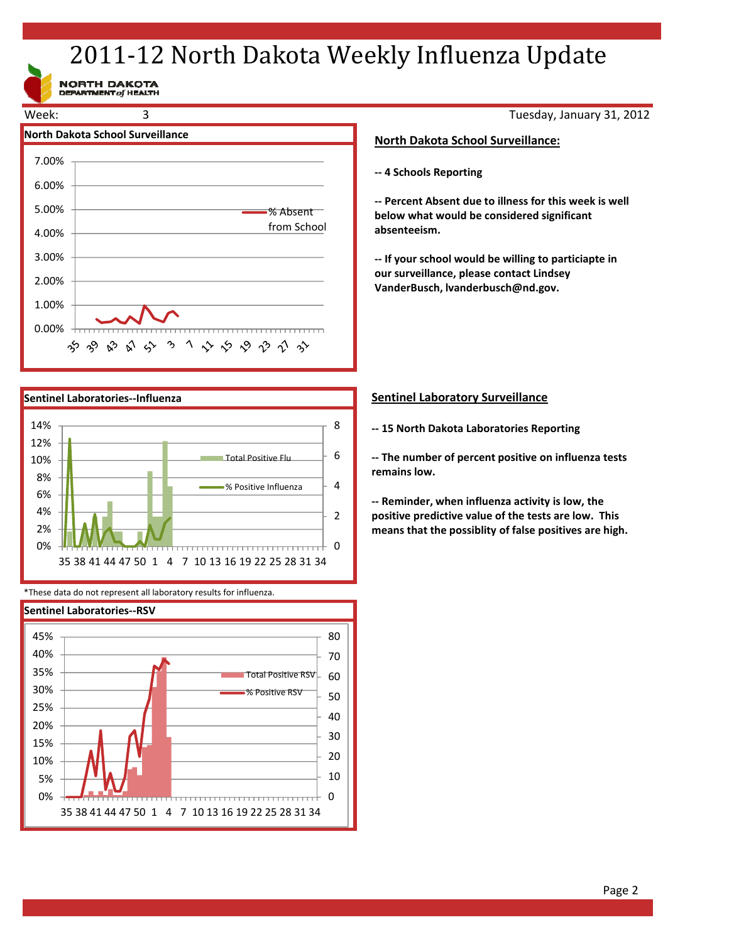# 2011-12 North Dakota Weekly Influenza Update

NORTH DAKOTA<br>DEPARTMENT of HEALTH





\*These data do not represent all laboratory results for influenza.



Tuesday, January 31, 2012

# **North Dakota School Surveillance:**

**‐‐ 4 Schools Reporting**

**‐‐ Percent Absent due to illness for this week is well below what would be considered significant absenteeism.**

**‐‐ If your school would be willing to particiapte in our surveillance, please contact Lindsey VanderBusch, lvanderbusch@nd.gov.**

# **Sentinel Laboratory Surveillance**

**‐‐ 15 North Dakota Laboratories Reporting**

**‐‐ The number of percent positive on influenza tests remains low.**

**‐‐ Reminder, when influenza activity is low, the positive predictive value of the tests are low. This means that the possiblity of false positives are high.**